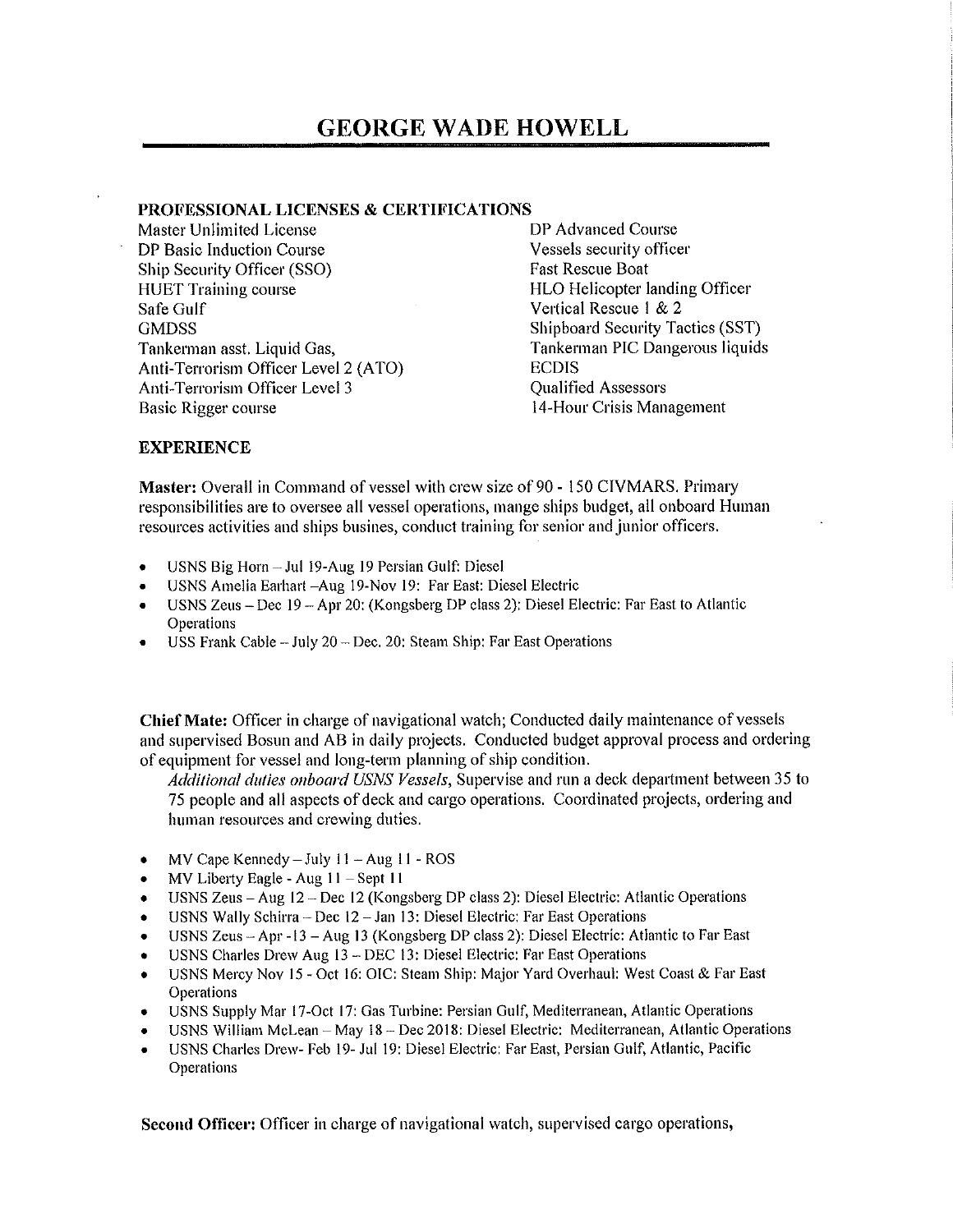## **PROFESSIONAL LICENSES & CERTIFICATIONS**

Master Unlimited License DP Basic Induction Course Ship Security Officer (SSO) HUET Training course Safe Gulf **GMDSS** Tankerman asst. Liquid Gas, Anti-Terrorism Officer Level 2 (ATO) Anti-Terrorism Officer Level 3 Basic Rigger course

DP Advanced Course Vessels security officer Fast Rescue Boat HLO Helicopter landing Officer Vertical Rescue I & 2 Shipboard Security Tactics (SST) Tankennan PIC Dangerous liquids ECDIS Qualified Assessors 14-Hour Crisis Management

## **EXPERIENCE**

**Master:** Overall in Command of vessel with crew size of 90 - 150 CIVMARS. Primary responsibilities are to oversee all vessel operations, mange ships budget, all onboard Human resources activities and ships busines, conduct training for senior and junior officers.

- USNS Big Horn-Jul 19-Aug 19 Persian Gulf: Diesel
- USNS Amelia Earhart -Aug 19-Nov 19: Far East: Diesel Electric
- USNS Zeus Dec 19 -Apr 20: (Kongsberg DP class 2): Diesel Electric: Far East to Atlantic Operations
- USS Frank Cable  $-$  July 20  $-$  Dec. 20: Steam Ship: Far East Operations

**Chief Mate:** Officer in charge of navigational watch; Conducted daily maintenance of vessels and supervised Bosun and AB in daily projects. Conducted budget approval process and ordering of equipment for vessel and long-term planning of ship condition.

*Additional duties onboard USNS Vessels*, Supervise and run a deck department between 35 to 75 people and all aspects of deck and cargo operations. Coordinated projects, ordering and human resources and crewing duties.

- MV Cape Kennedy  $-$  July 11  $-$  Aug 11  $-$  ROS
- MV Liberty Eagle Aug 11 Sept 11
- USNS Zeus -Aug 12 Dec 12 (Kongsberg DP class 2): Diesel Electric: Atlantic Operations
- USNS Wally Schirra Dec 12 Jan 13: Diesel Electric: Far East Operations
- USNS Zeus Apr -13 Aug 13 (Kongsberg DP class 2): Diesel Electric: Atlantic to Far East
- USNS Charles Drew Aug 13 DEC 13: Diesel Electric: Far East Operations
- USNS Mercy Nov 15 Oct 16: OIC: Steam Ship: Major Yard Overhaul: West Coast & Far East **Operations**
- USNS Supply Mar 17-Oct 17: Gas Turbine: Persian Gulf, Mediterranean, Atlantic Operations
- USNS William McLean May 18 Dec 2018: Diesel Electric: Mediterranean, Atlantic Operations
- USNS Charles Drew- Feb 19- Jul 19: Diesel Electric: Far East, Persian Gulf, Atlantic, Pacific Operations

**Second Officer:** Officer in charge of navigational watch, supervised cargo operations,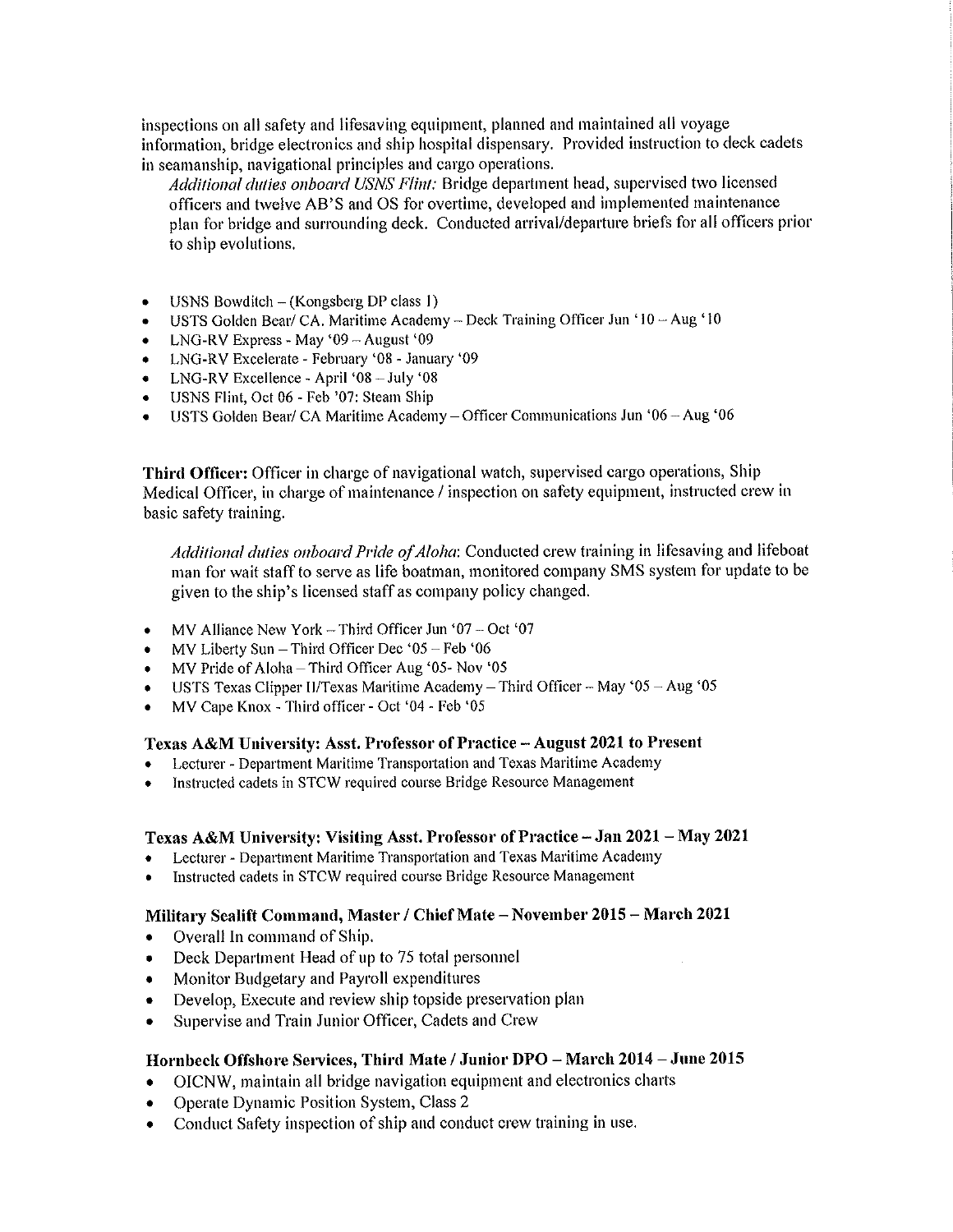inspections on all safety and lifesaving equipment, planned and maintained all voyage information, bridge electronics and ship hospital dispensary. Provided instruction to deck cadets in seamanship, navigational principles and cargo operations.

*Additional dulies onboard USNS Flint:* Bridge department head, supervised two licensed officers and twelve AB'S and OS for overtime, developed and implemented maintenance plan for bridge and surrounding deck. Conducted arrival/departure briefs for all officers prior to ship evolutions.

- USNS Bowditch (Kongsberg DP class 1)
- USTS Golden Bear/ CA. Maritime Academy Deck Training Officer Jun ' $10 \text{Aug}' 10$
- LNG-RV Express May '09 August '09
- LNG-RV Excelerate February '08 January '09
- LNG-RV Excellence -April 'OS-July '08
- USNS Flint, Oct 06 Feb '07: Steam Ship
- USTS Golden Bear/ CA Maritime Academy-Officer Communications Jun '06 -Aug '06

**Third Officer:** Officer in charge of navigational watch, supervised cargo operations, Ship Medical Officer, in charge of maintenance/ inspection on safety equipment, instructed crew in basic safety training.

*Additional duties 011board Pride of Aloha:* Conducted crew training in lifesaving and lifeboat man for wait staff to serve as life boatman, monitored company SMS system for update to be given to the ship's licensed staff as company policy changed.

- MV Alliance New York Third Officer Jun '07 Oct '07
- $MV$  Liberty Sun Third Officer Dec '05 Feb '06
- MV Pride of Aloha Third Officer Aug '05- Nov '05
- USTS Texas Clipper II/Texas Maritime Academy Third Officer May '05 Aug '05
- MV Cape Knox Third officer Oct '04 Feb '05

## **Texas A&M University: Asst. Professor of Practice -August 2021 to Present**

- Lecturer Department Maritime Transportation and Texas Maritime Academy
- Instructed cadets in STCW required course Bridge Resource Management

## **Texas A&M University: Visiting Asst. Professor of Practice-Jan 2021- May 2021**

- Lecturer Department Maritime Transportation and Texas Maritime Academy
- Instructed cadets in STCW required course Bridge Resource Management

## **Military Sealift Command, Master/ Chief Mate -November 2015** - **March 2021**

- Overall In command of Ship.
- Deck Department Head of up to 75 total personnel
- Monitor Budgetary and Payroll expenditures
- Develop, Execute and review ship topside preservation plan
- Supervise and Train Junior Officer, Cadets and Crew

## **Hornbeck Offshore Services, Third Mate/ Junior DPO** - **March 2014-June 2015**

- OICNW, maintain all bridge navigation equipment and electronics charts
- Operate Dynamic Position System, Class 2
- Conduct Safety inspection of ship and conduct crew training in use.